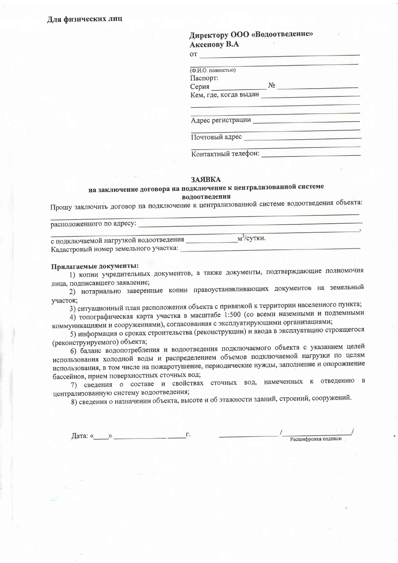# Директору ООО «Водоотведение» Аксенову В.А

| OТ                    |       |  |  |
|-----------------------|-------|--|--|
|                       |       |  |  |
| (Ф.И.О. полностью)    |       |  |  |
| Паспорт:              |       |  |  |
| Cepus                 | $N_2$ |  |  |
| Кем, где, когда выдан |       |  |  |
|                       |       |  |  |
| Адрес регистрации     |       |  |  |
| Почтовый адрес ___    |       |  |  |
| Контактный телефон:   |       |  |  |

### ЗАЯВКА

на заключение договора на подключение к централизованной системе

## водоотведения

Прошу заключить договор на подключение к централизованной системе водоотведения объекта:

расположенного по адресу:

с подключаемой нагрузкой водоотведения м<sup>3</sup>/сутки. Кадастровый номер земельного участка:

#### Прилагаемые документы:

1) копии учредительных документов, а также документы, подтверждающие полномочия лица, подписавшего заявление;

2) нотариально заверенные копии правоустанавливающих документов на земельный участок;

3) ситуационный план расположения объекта с привязкой к территории населенного пункта;

4) топографическая карта участка в масштабе 1:500 (со всеми наземными и подземными коммуникациями и сооружениями), согласованная с эксплуатирующими организациями;

5) информация о сроках строительства (реконструкции) и ввода в эксплуатацию строящегося (реконструируемого) объекта;

6) баланс водопотребления и водоотведения подключаемого объекта с указанием целей использования холодной воды и распределением объемов подключаемой нагрузки по целям использования, в том числе на пожаротушение, периодические нужды, заполнение и опорожнение бассейнов, прием поверхностных сточных вод;

7) сведения о составе и свойствах сточных вод, намеченных к отведению в централизованную систему водоотведения;

8) сведения о назначении объекта, высоте и об этажности зданий, строений, сооружений.

Расшифровка подписи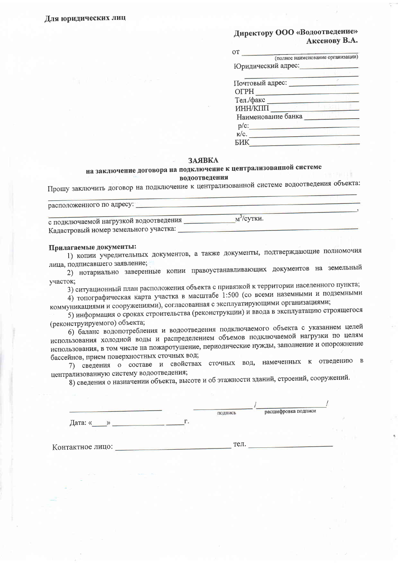# Директору ООО «Водоотведение» Аксенову В.А.

| ОT | (полное наименование организации) |
|----|-----------------------------------|
|    | Юридический адрес:                |
|    |                                   |

| Почтовый адрес:    |  |
|--------------------|--|
| <b>OTPH</b>        |  |
| Тел./факс          |  |
| ИНН/КПП            |  |
| Наименование банка |  |
| $p/c$ :            |  |
| к/с.               |  |
| БИК                |  |

#### **ЗАЯВКА**

# на заключение договора на подключение к централизованной системе

## водоотведения

Прошу заключить договор на подключение к централизованной системе водоотведения объекта:

расположенного по адресу:

Кадастровый номер земельного участка: Последника и подавительное подавительное подавительное подавительное пода

#### Прилагаемые документы:

1) копии учредительных документов, а также документы, подтверждающие полномочия лица, подписавшего заявление;

2) нотариально заверенные копии правоустанавливающих документов на земельный участок;

3) ситуационный план расположения объекта с привязкой к территории населенного пункта;

4) топографическая карта участка в масштабе 1:500 (со всеми наземными и подземными коммуникациями и сооружениями), согласованная с эксплуатирующими организациями;

5) информация о сроках строительства (реконструкции) и ввода в эксплуатацию строящегося (реконструируемого) объекта;

6) баланс водопотребления и водоотведения подключаемого объекта с указанием целей использования холодной воды и распределением объемов подключаемой нагрузки по целям использования, в том числе на пожаротушение, периодические нужды, заполнение и опорожнение бассейнов, прием поверхностных сточных вод;

7) сведения о составе и свойствах сточных вод, намеченных к отведению в централизованную систему водоотведения;

8) сведения о назначении объекта, высоте и об этажности зданий, строений, сооружений.

|         | подпись | расшифровка подписи |
|---------|---------|---------------------|
| Дата: « |         |                     |